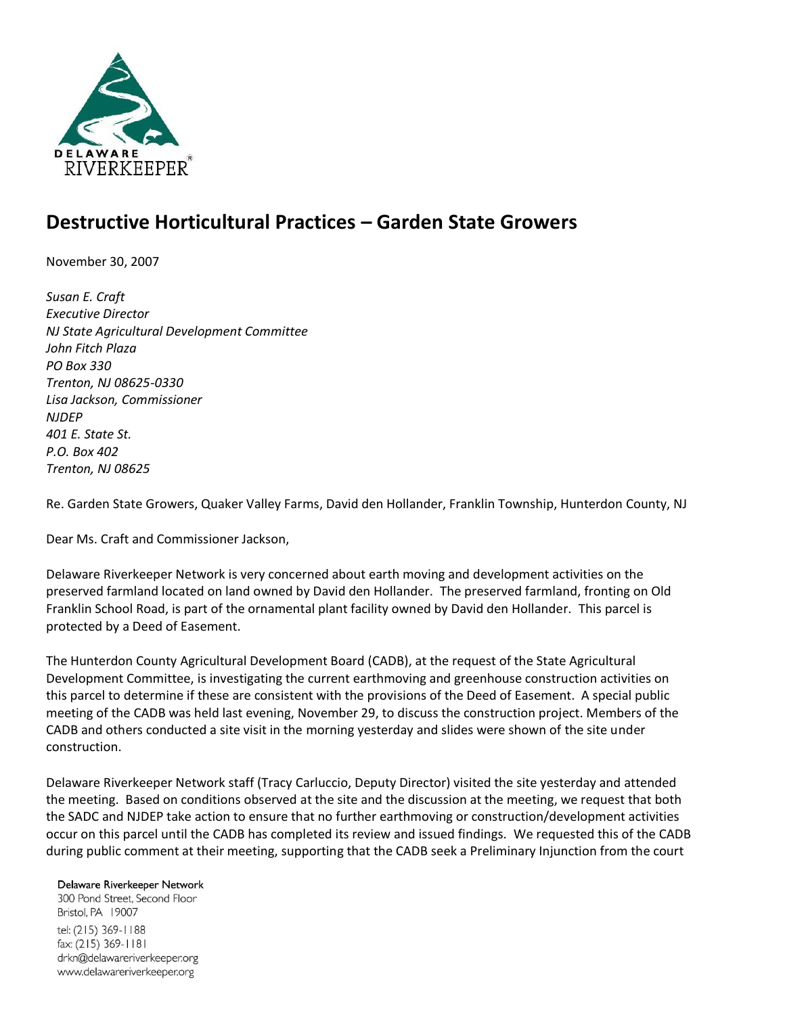

## **Destructive Horticultural Practices – Garden State Growers**

November 30, 2007

*Susan E. Craft Executive Director NJ State Agricultural Development Committee John Fitch Plaza PO Box 330 Trenton, NJ 08625-0330 Lisa Jackson, Commissioner NJDEP 401 E. State St. P.O. Box 402 Trenton, NJ 08625*

Re. Garden State Growers, Quaker Valley Farms, David den Hollander, Franklin Township, Hunterdon County, NJ

Dear Ms. Craft and Commissioner Jackson,

Delaware Riverkeeper Network is very concerned about earth moving and development activities on the preserved farmland located on land owned by David den Hollander. The preserved farmland, fronting on Old Franklin School Road, is part of the ornamental plant facility owned by David den Hollander. This parcel is protected by a Deed of Easement.

The Hunterdon County Agricultural Development Board (CADB), at the request of the State Agricultural Development Committee, is investigating the current earthmoving and greenhouse construction activities on this parcel to determine if these are consistent with the provisions of the Deed of Easement. A special public meeting of the CADB was held last evening, November 29, to discuss the construction project. Members of the CADB and others conducted a site visit in the morning yesterday and slides were shown of the site under construction.

Delaware Riverkeeper Network staff (Tracy Carluccio, Deputy Director) visited the site yesterday and attended the meeting. Based on conditions observed at the site and the discussion at the meeting, we request that both the SADC and NJDEP take action to ensure that no further earthmoving or construction/development activities occur on this parcel until the CADB has completed its review and issued findings. We requested this of the CADB during public comment at their meeting, supporting that the CADB seek a Preliminary Injunction from the court

## Delaware Riverkeeper Network

300 Pond Street, Second Floor Bristol, PA 19007 tel: (215) 369-1188 fax: (215) 369-1181 drkn@delawareriverkeeper.org www.delawareriverkeeper.org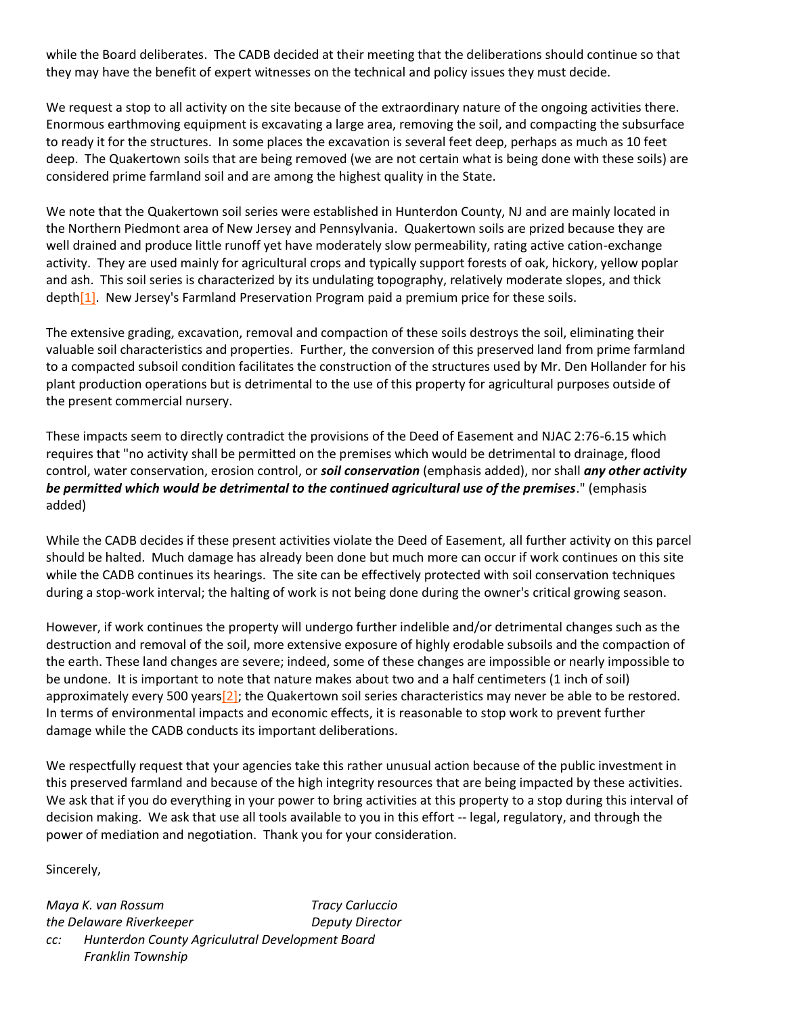while the Board deliberates. The CADB decided at their meeting that the deliberations should continue so that they may have the benefit of expert witnesses on the technical and policy issues they must decide.

We request a stop to all activity on the site because of the extraordinary nature of the ongoing activities there. Enormous earthmoving equipment is excavating a large area, removing the soil, and compacting the subsurface to ready it for the structures. In some places the excavation is several feet deep, perhaps as much as 10 feet deep. The Quakertown soils that are being removed (we are not certain what is being done with these soils) are considered prime farmland soil and are among the highest quality in the State.

We note that the Quakertown soil series were established in Hunterdon County, NJ and are mainly located in the Northern Piedmont area of New Jersey and Pennsylvania. Quakertown soils are prized because they are well drained and produce little runoff yet have moderately slow permeability, rating active cation-exchange activity. They are used mainly for agricultural crops and typically support forests of oak, hickory, yellow poplar and ash. This soil series is characterized by its undulating topography, relatively moderate slopes, and thick dept[h\[1\].](http://delawareriverkeeper.org/newsresources/factsheet.asp?ID=64#_ftn1) New Jersey's Farmland Preservation Program paid a premium price for these soils.

The extensive grading, excavation, removal and compaction of these soils destroys the soil, eliminating their valuable soil characteristics and properties. Further, the conversion of this preserved land from prime farmland to a compacted subsoil condition facilitates the construction of the structures used by Mr. Den Hollander for his plant production operations but is detrimental to the use of this property for agricultural purposes outside of the present commercial nursery.

These impacts seem to directly contradict the provisions of the Deed of Easement and NJAC 2:76-6.15 which requires that "no activity shall be permitted on the premises which would be detrimental to drainage, flood control, water conservation, erosion control, or *soil conservation* (emphasis added), nor shall *any other activity be permitted which would be detrimental to the continued agricultural use of the premises*." (emphasis added)

While the CADB decides if these present activities violate the Deed of Easement, all further activity on this parcel should be halted. Much damage has already been done but much more can occur if work continues on this site while the CADB continues its hearings. The site can be effectively protected with soil conservation techniques during a stop-work interval; the halting of work is not being done during the owner's critical growing season.

However, if work continues the property will undergo further indelible and/or detrimental changes such as the destruction and removal of the soil, more extensive exposure of highly erodable subsoils and the compaction of the earth. These land changes are severe; indeed, some of these changes are impossible or nearly impossible to be undone. It is important to note that nature makes about two and a half centimeters (1 inch of soil) approximately every 500 years<sup>[2]</sup>; the Quakertown soil series characteristics may never be able to be restored. In terms of environmental impacts and economic effects, it is reasonable to stop work to prevent further damage while the CADB conducts its important deliberations.

We respectfully request that your agencies take this rather unusual action because of the public investment in this preserved farmland and because of the high integrity resources that are being impacted by these activities. We ask that if you do everything in your power to bring activities at this property to a stop during this interval of decision making. We ask that use all tools available to you in this effort -- legal, regulatory, and through the power of mediation and negotiation. Thank you for your consideration.

Sincerely,

*Maya K. van Rossum Tracy Carluccio the Delaware Riverkeeper* Deputy Director *cc: Hunterdon County Agriculutral Development Board Franklin Township*